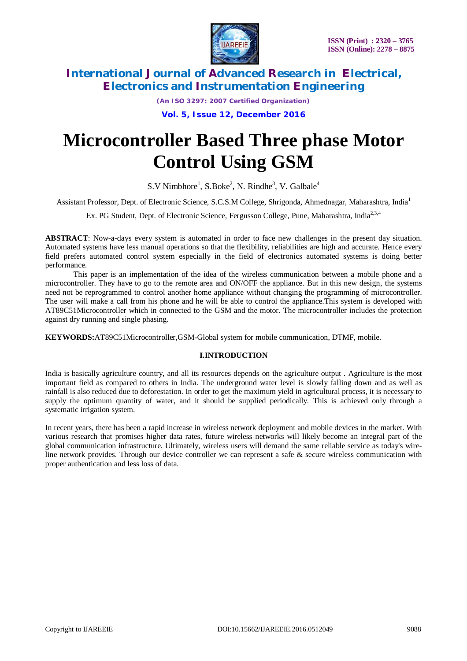

*(An ISO 3297: 2007 Certified Organization)*

**Vol. 5, Issue 12, December 2016**

# **Microcontroller Based Three phase Motor Control Using GSM**

 $S.V$  Nimbhore<sup>1</sup>,  $S.Boke<sup>2</sup>$ , N. Rindhe<sup>3</sup>, V. Galbale<sup>4</sup>

Assistant Professor, Dept. of Electronic Science, S.C.S.M College, Shrigonda, Ahmednagar, Maharashtra, India<sup>1</sup>

Ex. PG Student, Dept. of Electronic Science, Fergusson College, Pune, Maharashtra, India<sup>2,3,4</sup>

**ABSTRACT**: Now-a-days every system is automated in order to face new challenges in the present day situation. Automated systems have less manual operations so that the flexibility, reliabilities are high and accurate. Hence every field prefers automated control system especially in the field of electronics automated systems is doing better performance.

This paper is an implementation of the idea of the wireless communication between a mobile phone and a microcontroller. They have to go to the remote area and ON/OFF the appliance. But in this new design, the systems need not be reprogrammed to control another home appliance without changing the programming of microcontroller. The user will make a call from his phone and he will be able to control the appliance.This system is developed with AT89C51Microcontroller which in connected to the GSM and the motor. The microcontroller includes the protection against dry running and single phasing.

**KEYWORDS:**AT89C51Microcontroller,GSM-Global system for mobile communication, DTMF, mobile.

## **I.INTRODUCTION**

India is basically agriculture country, and all its resources depends on the agriculture output . Agriculture is the most important field as compared to others in India. The underground water level is slowly falling down and as well as rainfall is also reduced due to deforestation. In order to get the maximum yield in agricultural process, it is necessary to supply the optimum quantity of water, and it should be supplied periodically. This is achieved only through a systematic irrigation system.

In recent years, there has been a rapid increase in wireless network deployment and mobile devices in the market. With various research that promises higher data rates, future wireless networks will likely become an integral part of the global communication infrastructure. Ultimately, wireless users will demand the same reliable service as today's wireline network provides. Through our device controller we can represent a safe & secure wireless communication with proper authentication and less loss of data.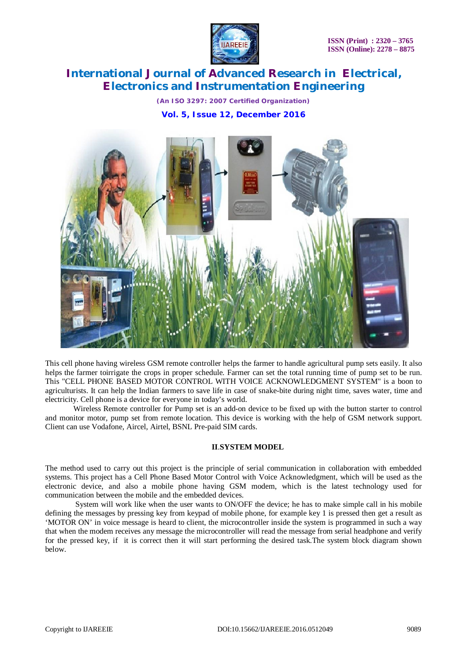

*(An ISO 3297: 2007 Certified Organization)* **Vol. 5, Issue 12, December 2016**



This cell phone having wireless GSM remote controller helps the farmer to handle agricultural pump sets easily. It also helps the farmer toirrigate the crops in proper schedule. Farmer can set the total running time of pump set to be run. This "CELL PHONE BASED MOTOR CONTROL WITH VOICE ACKNOWLEDGMENT SYSTEM" is a boon to agriculturists. It can help the Indian farmers to save life in case of snake-bite during night time, saves water, time and electricity. Cell phone is a device for everyone in today's world.

Wireless Remote controller for Pump set is an add-on device to be fixed up with the button starter to control and monitor motor, pump set from remote location. This device is working with the help of GSM network support. Client can use Vodafone, Aircel, Airtel, BSNL Pre-paid SIM cards.

### **II**.**SYSTEM MODEL**

The method used to carry out this project is the principle of serial communication in collaboration with embedded systems. This project has a Cell Phone Based Motor Control with Voice Acknowledgment, which will be used as the electronic device, and also a mobile phone having GSM modem, which is the latest technology used for communication between the mobile and the embedded devices.

System will work like when the user wants to ON/OFF the device; he has to make simple call in his mobile defining the messages by pressing key from keypad of mobile phone, for example key 1 is pressed then get a result as 'MOTOR ON' in voice message is heard to client, the microcontroller inside the system is programmed in such a way that when the modem receives any message the microcontroller will read the message from serial headphone and verify for the pressed key, if it is correct then it will start performing the desired task.The system block diagram shown below.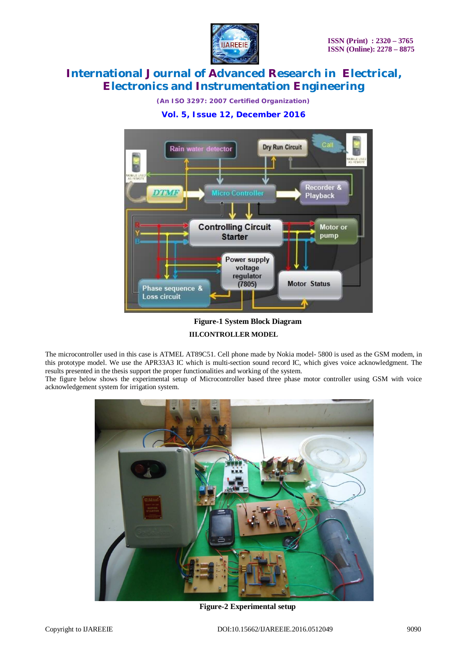

*(An ISO 3297: 2007 Certified Organization)*

## **Vol. 5, Issue 12, December 2016**



## **Figure-1 System Block Diagram III.CONTROLLER MODEL**

The microcontroller used in this case is ATMEL AT89C51. Cell phone made by Nokia model- 5800 is used as the GSM modem, in this prototype model. We use the APR33A3 IC which is multi-section sound record IC, which gives voice acknowledgment. The results presented in the thesis support the proper functionalities and working of the system.

The figure below shows the experimental setup of Microcontroller based three phase motor controller using GSM with voice acknowledgement system for irrigation system.



**Figure-2 Experimental setup**